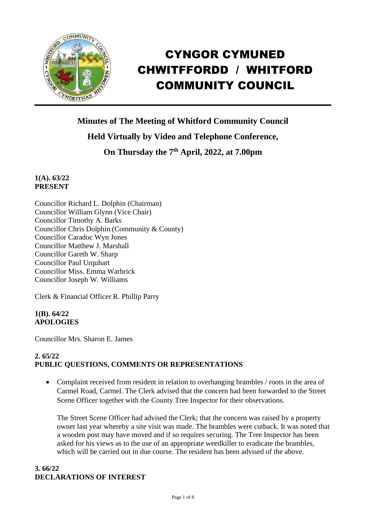

# CYNGOR CYMUNED CHWITFFORDD / WHITFORD COMMUNITY COUNCIL

**Minutes of The Meeting of Whitford Community Council Held Virtually by Video and Telephone Conference,**

**On Thursday the 7 th April, 2022, at 7.00pm** 

**1(A). 63/22 PRESENT**

Councillor Richard L. Dolphin (Chairman) Councillor William Glynn (Vice Chair) Councillor Timothy A. Barks Councillor Chris Dolphin (Community & County) Councillor Caradoc Wyn Jones Councillor Matthew J. Marshall Councillor Gareth W. Sharp Councillor Paul Urquhart Councillor Miss. Emma Warbrick Councillor Joseph W. Williams

Clerk & Financial Officer R. Phillip Parry

**1(B). 64/22 APOLOGIES**

Councillor Mrs. Sharon E. James

## **2. 65/22 PUBLIC QUESTIONS, COMMENTS OR REPRESENTATIONS**

• Complaint received from resident in relation to overhanging brambles / roots in the area of Carmel Road, Carmel. The Clerk advised that the concern had been forwarded to the Street Scene Officer together with the County Tree Inspector for their observations.

The Street Scene Officer had advised the Clerk; that the concern was raised by a property owner last year whereby a site visit was made. The brambles were cutback. It was noted that a wooden post may have moved and if so requires securing. The Tree Inspector has been asked for his views as to the use of an appropriate weedkiller to eradicate the brambles, which will be carried out in due course. The resident has been advised of the above.

## **3. 66/22 DECLARATIONS OF INTEREST**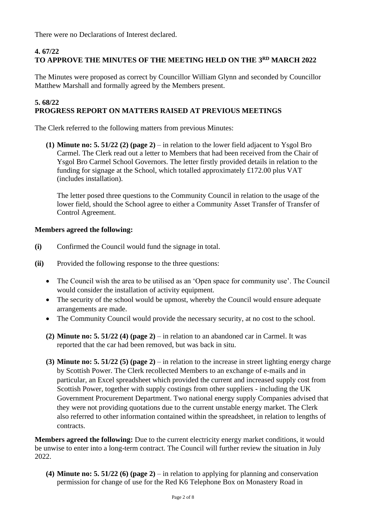There were no Declarations of Interest declared.

# **4. 67/22 TO APPROVE THE MINUTES OF THE MEETING HELD ON THE 3 RD MARCH 2022**

The Minutes were proposed as correct by Councillor William Glynn and seconded by Councillor Matthew Marshall and formally agreed by the Members present.

#### **5. 68/22 PROGRESS REPORT ON MATTERS RAISED AT PREVIOUS MEETINGS**

The Clerk referred to the following matters from previous Minutes:

**(1) Minute no: 5. 51/22 (2) (page 2)** – in relation to the lower field adjacent to Ysgol Bro Carmel. The Clerk read out a letter to Members that had been received from the Chair of Ysgol Bro Carmel School Governors. The letter firstly provided details in relation to the funding for signage at the School, which totalled approximately £172.00 plus VAT (includes installation).

The letter posed three questions to the Community Council in relation to the usage of the lower field, should the School agree to either a Community Asset Transfer of Transfer of Control Agreement.

# **Members agreed the following:**

- **(i)** Confirmed the Council would fund the signage in total.
- **(ii)** Provided the following response to the three questions:
	- The Council wish the area to be utilised as an 'Open space for community use'. The Council would consider the installation of activity equipment.
	- The security of the school would be upmost, whereby the Council would ensure adequate arrangements are made.
	- The Community Council would provide the necessary security, at no cost to the school.
	- **(2) Minute no: 5. 51/22 (4) (page 2)** in relation to an abandoned car in Carmel. It was reported that the car had been removed, but was back in situ.
	- **(3) Minute no: 5. 51/22 (5) (page 2)** in relation to the increase in street lighting energy charge by Scottish Power. The Clerk recollected Members to an exchange of e-mails and in particular, an Excel spreadsheet which provided the current and increased supply cost from Scottish Power, together with supply costings from other suppliers - including the UK Government Procurement Department. Two national energy supply Companies advised that they were not providing quotations due to the current unstable energy market. The Clerk also referred to other information contained within the spreadsheet, in relation to lengths of contracts.

**Members agreed the following:** Due to the current electricity energy market conditions, it would be unwise to enter into a long-term contract. The Council will further review the situation in July 2022.

**(4) Minute no: 5. 51/22 (6) (page 2)** – in relation to applying for planning and conservation permission for change of use for the Red K6 Telephone Box on Monastery Road in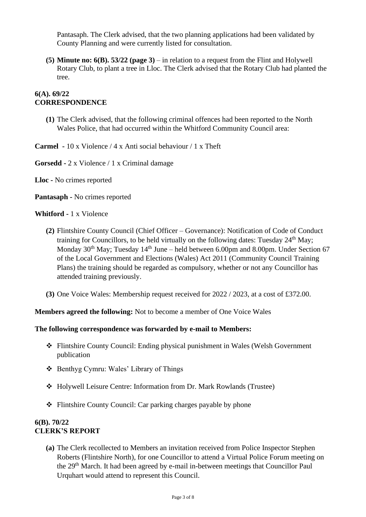Pantasaph. The Clerk advised, that the two planning applications had been validated by County Planning and were currently listed for consultation.

**(5) Minute no: 6(B). 53/22 (page 3)** – in relation to a request from the Flint and Holywell Rotary Club, to plant a tree in Lloc. The Clerk advised that the Rotary Club had planted the tree.

## **6(A). 69/22 CORRESPONDENCE**

**(1)** The Clerk advised, that the following criminal offences had been reported to the North Wales Police, that had occurred within the Whitford Community Council area:

**Carmel -** 10 x Violence / 4 x Anti social behaviour / 1 x Theft

**Gorsedd -** 2 x Violence / 1 x Criminal damage

**Lloc -** No crimes reported

**Pantasaph -** No crimes reported

## **Whitford -** 1 x Violence

- **(2)** Flintshire County Council (Chief Officer Governance): Notification of Code of Conduct training for Councillors, to be held virtually on the following dates: Tuesday  $24<sup>th</sup>$  May; Monday  $30<sup>th</sup>$  May; Tuesday  $14<sup>th</sup>$  June – held between 6.00pm and 8.00pm. Under Section 67 of the Local Government and Elections (Wales) Act 2011 (Community Council Training Plans) the training should be regarded as compulsory, whether or not any Councillor has attended training previously.
- **(3)** One Voice Wales: Membership request received for 2022 / 2023, at a cost of £372.00.

**Members agreed the following:** Not to become a member of One Voice Wales

## **The following correspondence was forwarded by e-mail to Members:**

- ❖ Flintshire County Council: Ending physical punishment in Wales (Welsh Government publication
- ❖ Benthyg Cymru: Wales' Library of Things
- ❖ Holywell Leisure Centre: Information from Dr. Mark Rowlands (Trustee)
- ❖ Flintshire County Council: Car parking charges payable by phone

## **6(B). 70/22 CLERK'S REPORT**

**(a)** The Clerk recollected to Members an invitation received from Police Inspector Stephen Roberts (Flintshire North), for one Councillor to attend a Virtual Police Forum meeting on the 29th March. It had been agreed by e-mail in-between meetings that Councillor Paul Urquhart would attend to represent this Council.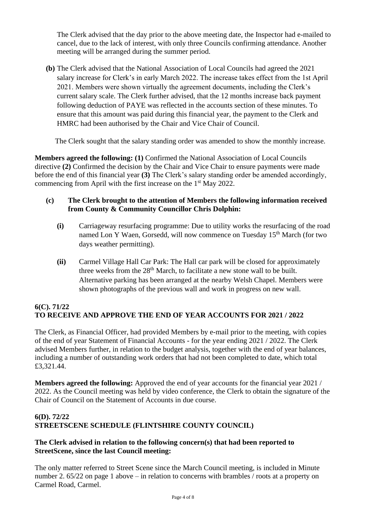The Clerk advised that the day prior to the above meeting date, the Inspector had e-mailed to cancel, due to the lack of interest, with only three Councils confirming attendance. Another meeting will be arranged during the summer period.

**(b)** The Clerk advised that the National Association of Local Councils had agreed the 2021 salary increase for Clerk's in early March 2022. The increase takes effect from the 1st April 2021. Members were shown virtually the agreement documents, including the Clerk's current salary scale. The Clerk further advised, that the 12 months increase back payment following deduction of PAYE was reflected in the accounts section of these minutes. To ensure that this amount was paid during this financial year, the payment to the Clerk and HMRC had been authorised by the Chair and Vice Chair of Council.

The Clerk sought that the salary standing order was amended to show the monthly increase.

**Members agreed the following: (1)** Confirmed the National Association of Local Councils directive **(2)** Confirmed the decision by the Chair and Vice Chair to ensure payments were made before the end of this financial year **(3)** The Clerk's salary standing order be amended accordingly, commencing from April with the first increase on the 1<sup>st</sup> May 2022.

## **(c) The Clerk brought to the attention of Members the following information received from County & Community Councillor Chris Dolphin:**

- **(i)** Carriageway resurfacing programme: Due to utility works the resurfacing of the road named Lon Y Waen, Gorsedd, will now commence on Tuesday 15<sup>th</sup> March (for two days weather permitting).
- **(ii)** Carmel Village Hall Car Park: The Hall car park will be closed for approximately three weeks from the  $28<sup>th</sup>$  March, to facilitate a new stone wall to be built. Alternative parking has been arranged at the nearby Welsh Chapel. Members were shown photographs of the previous wall and work in progress on new wall.

## **6(C). 71/22 TO RECEIVE AND APPROVE THE END OF YEAR ACCOUNTS FOR 2021 / 2022**

The Clerk, as Financial Officer, had provided Members by e-mail prior to the meeting, with copies of the end of year Statement of Financial Accounts - for the year ending 2021 / 2022. The Clerk advised Members further, in relation to the budget analysis, together with the end of year balances, including a number of outstanding work orders that had not been completed to date, which total £3,321.44.

**Members agreed the following:** Approved the end of year accounts for the financial year 2021 / 2022. As the Council meeting was held by video conference, the Clerk to obtain the signature of the Chair of Council on the Statement of Accounts in due course.

# **6(D). 72/22 STREETSCENE SCHEDULE (FLINTSHIRE COUNTY COUNCIL)**

## **The Clerk advised in relation to the following concern(s) that had been reported to StreetScene, since the last Council meeting:**

The only matter referred to Street Scene since the March Council meeting, is included in Minute number 2. 65/22 on page 1 above – in relation to concerns with brambles / roots at a property on Carmel Road, Carmel.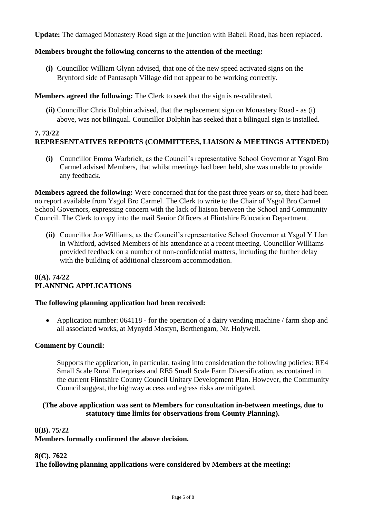**Update:** The damaged Monastery Road sign at the junction with Babell Road, has been replaced.

## **Members brought the following concerns to the attention of the meeting:**

**(i)** Councillor William Glynn advised, that one of the new speed activated signs on the Brynford side of Pantasaph Village did not appear to be working correctly.

**Members agreed the following:** The Clerk to seek that the sign is re-calibrated.

**(ii)** Councillor Chris Dolphin advised, that the replacement sign on Monastery Road - as (i) above, was not bilingual. Councillor Dolphin has seeked that a bilingual sign is installed.

#### **7. 73/22 REPRESENTATIVES REPORTS (COMMITTEES, LIAISON & MEETINGS ATTENDED)**

**(i)** Councillor Emma Warbrick, as the Council's representative School Governor at Ysgol Bro Carmel advised Members, that whilst meetings had been held, she was unable to provide any feedback.

**Members agreed the following:** Were concerned that for the past three years or so, there had been no report available from Ysgol Bro Carmel. The Clerk to write to the Chair of Ysgol Bro Carmel School Governors, expressing concern with the lack of liaison between the School and Community Council. The Clerk to copy into the mail Senior Officers at Flintshire Education Department.

**(ii)** Councillor Joe Williams, as the Council's representative School Governor at Ysgol Y Llan in Whitford, advised Members of his attendance at a recent meeting. Councillor Williams provided feedback on a number of non-confidential matters, including the further delay with the building of additional classroom accommodation.

## **8(A). 74/22 PLANNING APPLICATIONS**

## **The following planning application had been received:**

• Application number: 064118 - for the operation of a dairy vending machine / farm shop and all associated works, at Mynydd Mostyn, Berthengam, Nr. Holywell.

#### **Comment by Council:**

Supports the application, in particular, taking into consideration the following policies: RE4 Small Scale Rural Enterprises and RE5 Small Scale Farm Diversification, as contained in the current Flintshire County Council Unitary Development Plan. However, the Community Council suggest, the highway access and egress risks are mitigated.

## **(The above application was sent to Members for consultation in-between meetings, due to statutory time limits for observations from County Planning).**

## **8(B). 75/22**

**Members formally confirmed the above decision.**

## **8(C). 7622**

**The following planning applications were considered by Members at the meeting:**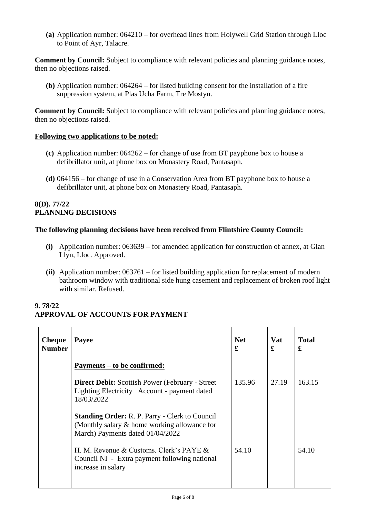**(a)** Application number: 064210 – for overhead lines from Holywell Grid Station through Lloc to Point of Ayr, Talacre.

**Comment by Council:** Subject to compliance with relevant policies and planning guidance notes, then no objections raised.

**(b)** Application number: 064264 – for listed building consent for the installation of a fire suppression system, at Plas Ucha Farm, Tre Mostyn.

**Comment by Council:** Subject to compliance with relevant policies and planning guidance notes, then no objections raised.

## **Following two applications to be noted:**

- **(c)** Application number: 064262 for change of use from BT payphone box to house a defibrillator unit, at phone box on Monastery Road, Pantasaph.
- **(d)** 064156 for change of use in a Conservation Area from BT payphone box to house a defibrillator unit, at phone box on Monastery Road, Pantasaph.

#### **8(D). 77/22 PLANNING DECISIONS**

## **The following planning decisions have been received from Flintshire County Council:**

- **(i)** Application number: 063639 for amended application for construction of annex, at Glan Llyn, Lloc. Approved.
- **(ii)** Application number: 063761 for listed building application for replacement of modern bathroom window with traditional side hung casement and replacement of broken roof light with similar. Refused.

# **9. 78/22 APPROVAL OF ACCOUNTS FOR PAYMENT**

| <b>Cheque</b><br><b>Number</b> | Payee                                                                                                                                     | <b>Net</b><br>£ | <b>Vat</b><br>£ | <b>Total</b><br>£ |
|--------------------------------|-------------------------------------------------------------------------------------------------------------------------------------------|-----------------|-----------------|-------------------|
|                                | Payments – to be confirmed:                                                                                                               |                 |                 |                   |
|                                | <b>Direct Debit:</b> Scottish Power (February - Street)<br>Lighting Electricity Account - payment dated<br>18/03/2022                     | 135.96          | 27.19           | 163.15            |
|                                | <b>Standing Order: R. P. Parry - Clerk to Council</b><br>(Monthly salary & home working allowance for<br>March) Payments dated 01/04/2022 |                 |                 |                   |
|                                | H. M. Revenue & Customs. Clerk's PAYE $\&$<br>Council NI - Extra payment following national<br>increase in salary                         | 54.10           |                 | 54.10             |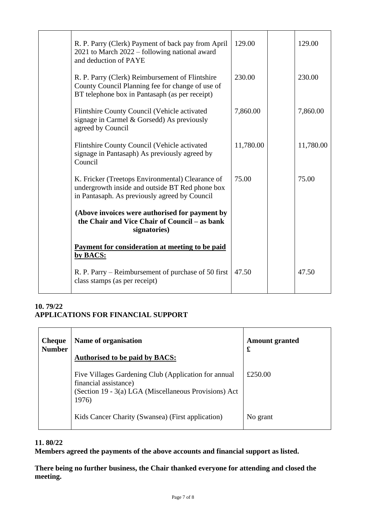| R. P. Parry (Clerk) Payment of back pay from April<br>2021 to March 2022 – following national award<br>and deduction of PAYE                          | 129.00    | 129.00    |
|-------------------------------------------------------------------------------------------------------------------------------------------------------|-----------|-----------|
| R. P. Parry (Clerk) Reimbursement of Flintshire<br>County Council Planning fee for change of use of<br>BT telephone box in Pantasaph (as per receipt) | 230.00    | 230.00    |
| Flintshire County Council (Vehicle activated<br>signage in Carmel & Gorsedd) As previously<br>agreed by Council                                       | 7,860.00  | 7,860.00  |
| Flintshire County Council (Vehicle activated<br>signage in Pantasaph) As previously agreed by<br>Council                                              | 11,780.00 | 11,780.00 |
| K. Fricker (Treetops Environmental) Clearance of<br>undergrowth inside and outside BT Red phone box<br>in Pantasaph. As previously agreed by Council  | 75.00     | 75.00     |
| (Above invoices were authorised for payment by<br>the Chair and Vice Chair of Council – as bank<br>signatories)                                       |           |           |
| Payment for consideration at meeting to be paid<br>by BACS:                                                                                           |           |           |
| R. P. Parry – Reimbursement of purchase of 50 first<br>class stamps (as per receipt)                                                                  | 47.50     | 47.50     |

# **10. 79/22 APPLICATIONS FOR FINANCIAL SUPPORT**

| <b>Cheque</b><br><b>Number</b> | Name of organisation<br><b>Authorised to be paid by BACS:</b>                                                                                   | <b>Amount granted</b><br>£ |
|--------------------------------|-------------------------------------------------------------------------------------------------------------------------------------------------|----------------------------|
|                                | Five Villages Gardening Club (Application for annual<br>financial assistance)<br>(Section 19 - 3(a) LGA (Miscellaneous Provisions) Act<br>1976) | £250.00                    |
|                                | Kids Cancer Charity (Swansea) (First application)                                                                                               | No grant                   |

# **11. 80/22**

**Members agreed the payments of the above accounts and financial support as listed.**

**There being no further business, the Chair thanked everyone for attending and closed the meeting.**